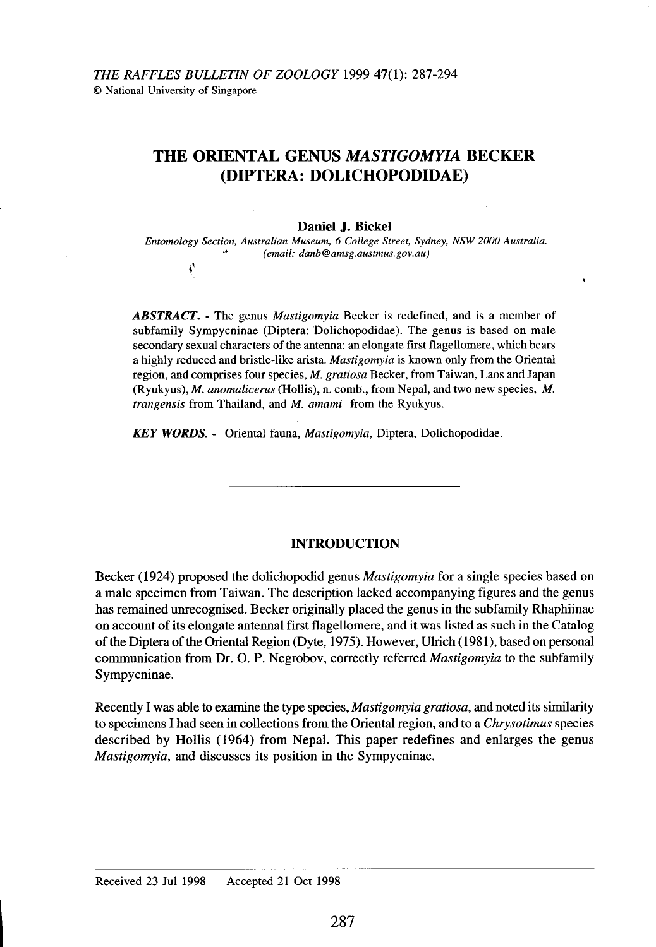t,

# **THE ORIENTAL GENUS** *MASTIGOMYIA* **BECKER (DIPTERA: DOLICHOPODIDAE)**

### **Daniel J. Bickel**

*Entomology Section, Australian Museum,* 6 *College Street, Sydney, NSW 2000 Australia . .' (email: danb@amsg.austmus.gov.au)*

*ABSTRACT. -* The genus *Mastigomyia* Becker is redefined, and is a member of subfamily Sympycninae (Diptera: Dolichopodidae). The genus is based on male secondary sexual characters of the antenna: an elongate first flagellomere, which bears a highly reduced and bristle-like arista. *Mastigomyia* is known only from the Oriental region, and comprises four species, *M. gratiosa* Becker, from Taiwan, Laos and Japan (Ryukyus), *M. anomalicerus* (Hollis), n. comb., from Nepal, and two new species, *M. trangensis* from Thailand, and *M. amami* from the Ryukyus.

**KEY WORDS.** - Oriental fauna, Mastigomyia, Diptera, Dolichopodidae.

### **INTRODUCTION**

Becker (1924) proposed the dolichopodid genus *Mastigomyia* for a single species based on a male specimen from Taiwan. The description lacked accompanying figures and the genus has remained unrecognised. Becker originally placed the genus in the subfamily Rhaphiinae on account of its elongate antennal first flagellomere, and it was listed as such in the Catalog ofthe Diptera of the Oriental Region (Dyte, 1975). However, Ulrich (1981), based on personal communication from Dr. O. P. Negrobov, correctly referred *Mastigomyia* to the subfamily Sympycninae.

Recently I was able to examine the type species, *Mastigomyia gratiosa,* and noted its similarity to specimens I had seen in collections from the Oriental region, and to a *Chrysotimus* species described by Hollis (1964) from Nepal. This paper redefines and enlarges the genus *Mastigomyia,* and discusses its position in the Sympycninae.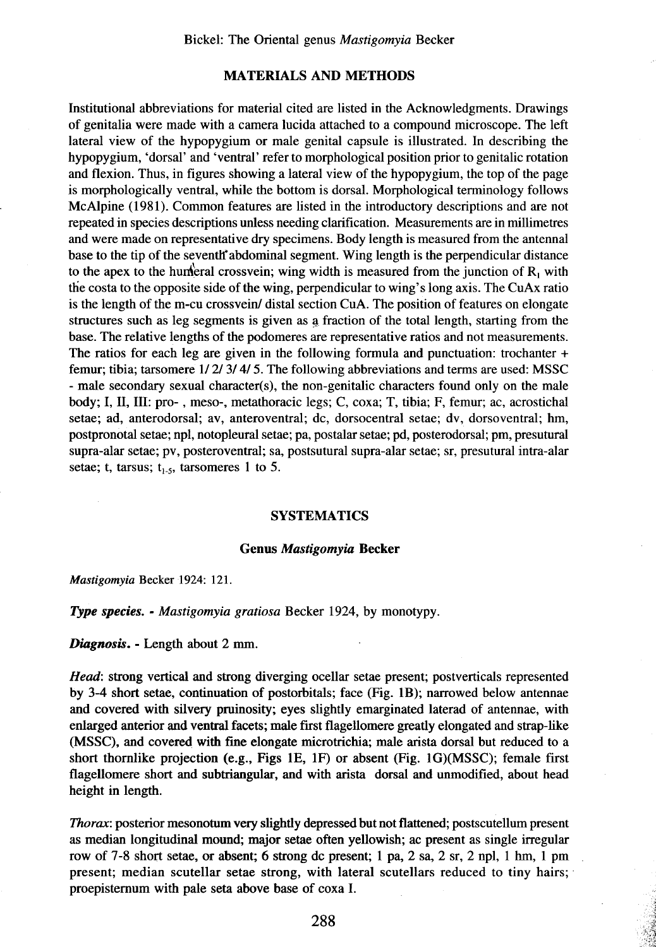## **MATERIALS AND METHODS**

Institutional abbreviations for material cited are listed in the Acknowledgments. Drawings of genitalia were made with a camera lucida attached to a compound microscope. The left lateral view of the hypopygium or male genital capsule is illustrated. In describing the hypopygium, 'dorsal' and 'ventral' refer to morphological position prior to genitalic rotation and flexion. Thus, in figures showing a lateral view of the hypopygium, the top of the page is morphologically ventral, while the bottom is dorsal. Morphological terminology follows McAlpine (1981). Common features are listed in the introductory descriptions and are not repeated in species descriptions unless needing clarification. Measurements are in millimetres and were made on representative dry specimens. Body length is measured from the antennal base to the tip of the seventh' abdominal segment. Wing length is the perpendicular distance to the apex to the hunderal crossvein; wing width is measured from the junction of  $R_1$  with the costa to the opposite side of the wing, perpendicular to wing's long axis. The CuAx ratio is the length of the m-cu crossvein/ distal section CuA. The position of features on elongate structures such as leg segments is given as a fraction of the total length, starting from the base. The relative lengths of the podomeres are representative ratios and not measurements. The ratios for each leg are given in the following formula and punctuation: trochanter + femur; tibia; tarsomere 1/2/3/4/5. The following abbreviations and terms are used: MSSC - male secondary sexual character(s), the non-genitalic characters found only on the male body; I, II, III: pro- , meso-, metathoracic legs; C, coxa; T, tibia; F, femur; ac, acrostichal setae; ad, anterodorsal; av, anteroventral; dc, dorsocentral setae; dv, dorsoventral; hm, postpronotal setae; npl, notopleural setae; pa, postalar setae; pd, posterodorsal; pm, presutural supra-alar setae; pv, posteroventral; sa, postsutural supra-alar setae; sr, presutural intra-alar setae; t, tarsus;  $t_{1.5}$ , tarsomeres 1 to 5.

### **SYSTEMATICS**

### **Genus Mastigomyia Becker**

Mastigomyia Becker 1924: 121.

### Type species. - Mastigomyia gratiosa Becker 1924, by monotypy.

Diagnosis. - Length about 2 mm.

*Head:* strong vertical and strong diverging ocellar setae present; postverticals represented by 3-4 short setae, continuation of postorbitals; face (Fig. IB); narrowed below antennae and covered with silvery pruinosity; eyes slightly emarginated laterad of antennae, with enlarged anterior and ventral facets; male first flagellomere greatly elongated and strap-like (MSSC), and covered with fme elongate microtrichia; male arista dorsal but reduced to a short thornlike projection (e.g., Figs IE, IF) or absent (Fig. IG)(MSSC); female first flagellomere short and subtriangular, and with arista dorsal and unmodified, about head height in length.

*Thorax:* posterior mesonotum very slightly depressed but not flattened; postscutellum present as median longitudinal mound; major setae often yellowish; ac present as single irregular row of 7-8 short setae, or absent; 6 strong dc present; 1 pa, 2 sa, 2 sr, 2 npl, 1 hm, 1 pm present; median scutellar setae strong, with lateral scutellars reduced to tiny hairs; . proepisternum with pale seta above base of coxa I.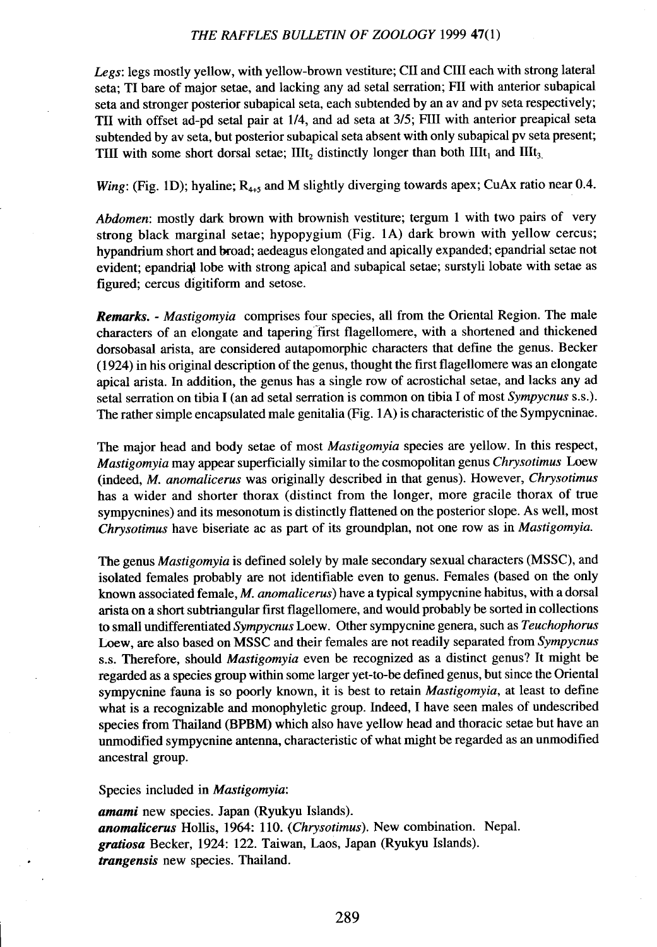### THE RAFFLES BULLETIN OF ZOOLOGY 1999 47(1)

*Legs:* legs mostly yellow, with yellow-brown vestiture; CII and CIII each with strong lateral seta; TI bare of major setae, and lacking any ad setal serration; FII with anterior subapical seta and stronger posterior subapical seta, each subtended by an av and pv seta respectively; TII with offset ad-pd setal pair at 1/4, and ad seta at 3/5; FIll with anterior preapical seta subtended by av seta, but posterior subapical seta absent with only subapical pv seta present; TIII with some short dorsal setae;  $IIIt_2$  distinctly longer than both  $IIIt_1$  and  $IIIt_3$ .

## Wing: (Fig. 1D); hyaline;  $R_{4+5}$  and M slightly diverging towards apex; CuAx ratio near 0.4.

*Abdomen:* mostly dark brown with brownish vestiture; tergum 1 with two pairs of very strong black marginal setae; hypopygium (Fig. lA) dark brown with yellow cercus; hypandrium short and broad; aedeagus elongated and apically expanded; epandrial setae not evident; epandrial lobe with strong apical and subapical setae; surstyli lobate with setae as figured; cercus digitiform and setose.

*Remarks. - Mastigomyia* comprises four species, all from the Oriental Region. The male characters of an elongate and tapering "first flagellomere, with a shortened and thickened dorsobasal arista, are considered autapomorphic characters that define the genus. Becker (1924) in his original description of the genus, thought the first flagellomere was an elongate apical arista. In addition, the genus has a single row of acrostichal setae, and lacks any ad setal serration on tibia I (an ad setal serration is common on tibia I of most *Sympycnus* s.s.). The rather simple encapsulated male genitalia (Fig. lA) is characteristic of the Sympycninae.

The major head and body setae of most *Mastigomyia* species are yellow. In this respect, *Mastigomyia* may appear superficially similar to the cosmopolitan genus *Chrysotimus* Loew (indeed, *M. anomalicerus* was originally described in that genus). However, *Chrysotimus* has a wider and shorter thorax (distinct from the longer, more gracile thorax of true sympycnines) and its mesonotum is distinctly flattened on the posterior slope. As well, most *Chrysotimus* have biseriate ac as part of its groundplan, not one row as in *Mastigomyia.*

The genus *Mastigomyia* is defined solely by male secondary sexual characters (MSSC), and isolated females probably are not identifiable even to genus. Females (based on the only known associated female, *M. anomalicerus)* have a typical sympycnine habitus, with a dorsal arista on a short subtriangular first flagellomere, and would probably be sorted in collections to small undifferentiated *Sympycnus* Loew. Other sympycnine genera, such as *Teuchophorus* Loew, are also based on MSSC and their females are not readily separated from *Sympycnus* s.s. Therefore, should *Mastigomyia* even be recognized as a distinct genus? It might be regarded as a species group within some larger yet-to-be defined genus, but since the Oriental sympycnine fauna is so poorly known, it is best to retain *Mastigomyia,* at least to define what is a recognizable and monophyletic group. Indeed, I have seen males of undescribed species from Thailand (BPBM) which also have yellow head and thoracic setae but have an unmodified sympycnine antenna, characteristic of what might be regarded as an unmodified ancestral group.

### Species included in *Mastigomyia:*

*amami* new species. Japan (Ryukyu Islands). anomalicerus Hollis, 1964: 110. *(Chrysotimus)*. New combination. Nepal. *gratiosa* Becker, 1924: 122. Taiwan, Laos, Japan (Ryukyu Islands). *trangensis* new species. Thailand.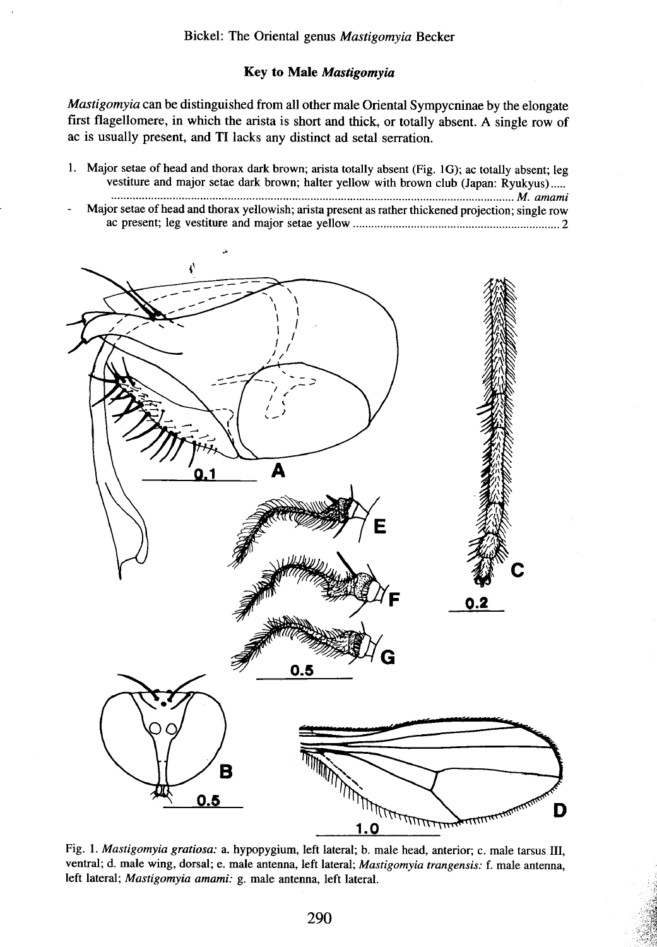# Key to Male Mastigomyia

*Mastigomyia* can be distinguished from all other male Oriental Sympycninae by the elongate first flagellomere, in which the arista is short and thick, or totally absent. A single row of ac is usually present, and TI lacks any distinct ad setal serration.

| 1. Major setae of head and thorax dark brown; arista totally absent (Fig. 1G); ac totally absent; leg |
|-------------------------------------------------------------------------------------------------------|
| vestiture and major setae dark brown; halter yellow with brown club (Japan: Ryukyus)                  |
|                                                                                                       |
| Major setae of head and thorax yellowish; arista present as rather thickened projection; single row   |
|                                                                                                       |



Fig. 1. *Mastigomyia gratiosa:* a. hypopygium, left lateral; b. male head, anterior; c. male tarsus III, ventral; d. male wing, dorsal; e. male antenna, left lateral; *Mastigomyia trangensis:* f. male antenna, left lateral; *Mastigomyia amami:* g. male antenna, left lateral.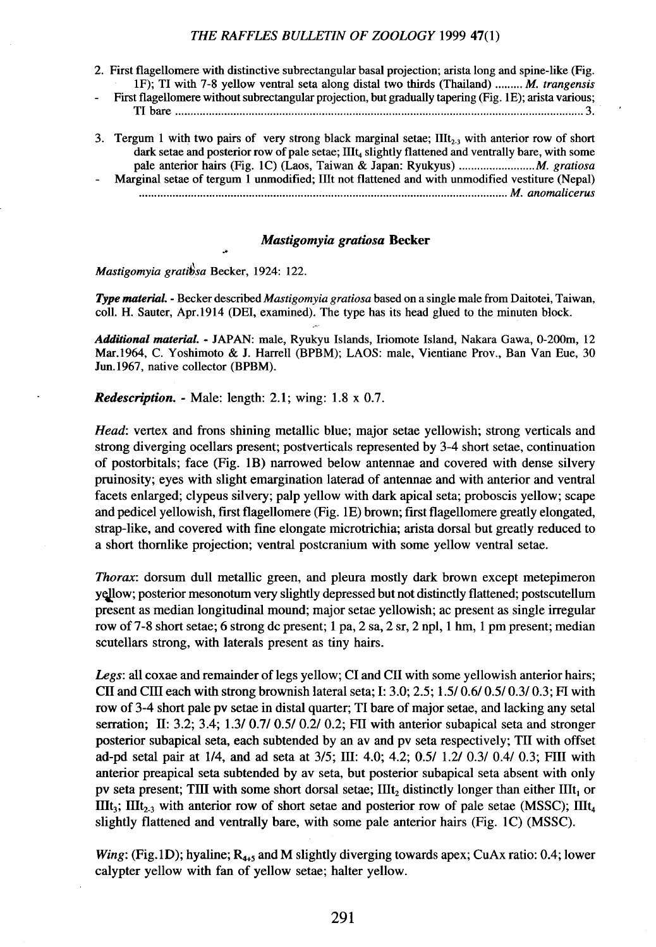#### THE RAFFLES BULLETIN OF ZOOLOGY 1999 47(1)

- 2. First flagellomere with distinctive subrectangular basal projection; arista long and spine-like (Fig. IF); TI with 7-8 yellow ventral seta along distal two thirds (Thailand) *M. trangensis*
- First flagellomere without subrectangular projection, but gradually tapering (Fig. IE); arista various; TI bare 3.
- 3. Tergum 1 with two pairs of very strong black marginal setae;  $III_{2,3}$  with anterior row of short dark setae and posterior row of pale setae; IIIt, slightly flattened and ventrally bare, with some pale anterior hairs (Fig. lC) (Laos, Taiwan & Japan: Ryukyus) *M. gratiosa* Marginal setae of tergum I unmodified; lIlt not flattened and with unmodified vestiture (Nepal)
- *......................................................................................................................... M. anomalicerus*

#### Mastigomyia gratiosa Becker

Mastigomyia gratibsa Becker, 1924: 122.

*Type material. -* Becker described *Mastigomyia gratiosa* based on a single male from Daitotei, Taiwan, colI. H. Sauter, Apr.1914 (DEI, examined). The type has its head glued to the minuten block.

*Additional material.•* JAPAN: male, Ryukyu Islands, Iriomote Island, Nakara Gawa, 0-200m, 12 Mar.1964, C. Yoshimoto & J. Harrell (BPBM); LAOS: male, Vientiane Prov., Ban Van Eue, 30 Jun.1967, native collector (BPBM).

*Redescription.* - Male: length: 2.1; wing:  $1.8 \times 0.7$ .

*Head:* vertex and frons shining metallic blue; major setae yellowish; strong verticals and strong diverging ocellars present; postverticals represented by 3-4 short setae, continuation of postorbitals; face (Fig. IB) narrowed below antennae and covered with dense silvery pruinosity; eyes with slight emargination laterad of antennae and with anterior and ventral facets enlarged; clypeus silvery; palp yellow with dark apical seta; proboscis yellow; scape and pedicel yellowish, first flagellomere (Fig. 1E) brown; first flagellomere greatly elongated, strap-like, and covered with fIne elongate microtrichia; arista dorsal but greatly reduced to a short thornlike projection; ventral postcranium with some yellow ventral setae.

*Thorax:* dorsum dull metallic green, and pleura mostly dark brown except metepimeron yellow; posterior mesonotum very slightly depressed but not distinctly flattened; postscutellum present as median longitudinal mound; major setae yellowish; ac present as single irregular row of 7-8 short setae; 6 strong dc present; I pa, 2 sa, 2 sr, 2 npl, I hm, I pm present; median scutellars strong, with laterals present as tiny hairs.

*Legs:* all coxae and remainder of legs yellow; CI and CII with some yellowish anterior hairs; CII and CIII each with strong brownish lateral seta; I: 3.0; 2.5; 1.5/0.6/0.5/0.3/0.3; FI with row of 3-4 short pale pv setae in distal quarter; TI bare of major setae, and lacking any setal serration; II: 3.2; 3.4; 1.3/ 0.7/ 0.5/ 0.2/ 0.2; FII with anterior subapical seta and stronger posterior subapical seta, each subtended by an av and pv seta respectively; TII with offset ad-pd setal pair at 1/4, and ad seta at 3/5; III: 4.0; 4.2; 0.5/ 1.2/0.3/ 0.4/ 0.3; FIll with anterior preapical seta subtended by av seta, but posterior subapical seta absent with only pv seta present; TIII with some short dorsal setae;  $IIIt_2$  distinctly longer than either  $IIIt_1$  or IIIt<sub>3</sub>; IIIt<sub>2-3</sub> with anterior row of short setae and posterior row of pale setae (MSSC); IIIt<sub>4</sub> slightly flattened and ventrally bare, with some pale anterior hairs (Fig. IC) (MSSC).

*Wing*: (Fig.1D); hyaline;  $R_{4+5}$  and M slightly diverging towards apex; CuAx ratio: 0.4; lower calypter yellow with fan of yellow setae; halter yellow.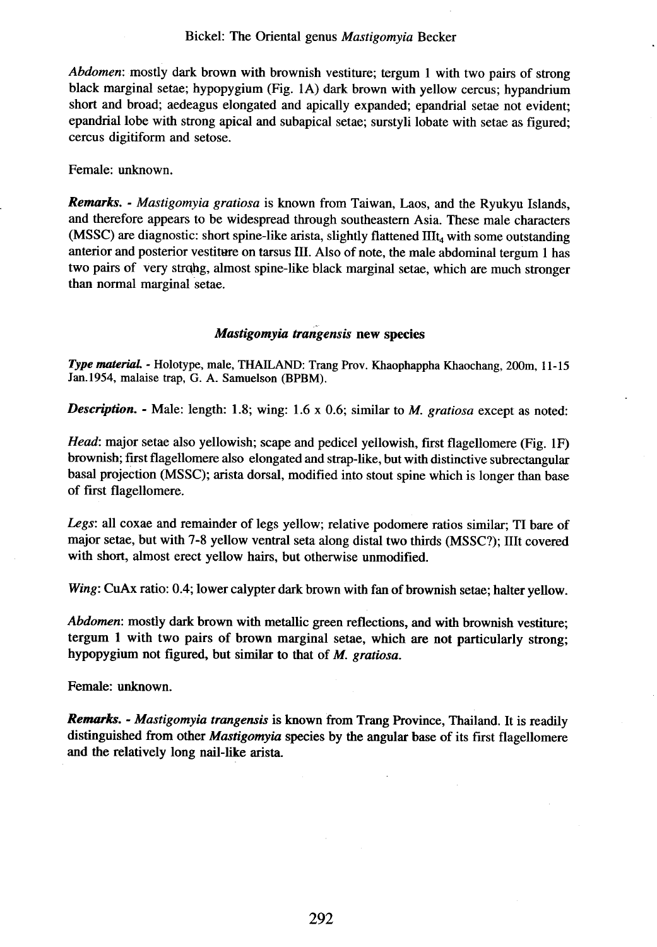### Bickel: The Oriental genus Mastigomyia Becker

*Abdomen:* mostly dark brown with brownish vestiture; tergum I with two pairs of strong black marginal setae; hypopygium (Fig. IA) dark brown with yellow cercus; hypandrium short and broad; aedeagus elongated and apically expanded; epandrial setae not evident; epandrial lobe with strong apical and subapical setae; surstyli lobate with setae as figured; cercus digitiform and setose.

Female: unknown.

*Remarks. - Mastigomyia gratiosa* is known from Taiwan, Laos, and the Ryukyu Islands, and therefore appears to be widespread through southeastern Asia. These male characters (MSSC) are diagnostic: short spine-like arista, slightly flattened  $III<sub>4</sub>$  with some outstanding anterior and posterior vestitare on tarsus III. Also of note, the male abdominal tergum I has two pairs of very strong, almost spine-like black marginal setae, which are much stronger than normal marginal setae.

### Mastigomyia trangensis new species

*Type material. -* Holotype, male, THAILAND: Trang Prov. Khaophappha Khaochang, 200m, II-IS Jan.1954, malaise trap, G. A. Samuelson (BPBM).

**Description.** - Male: length: 1.8; wing: 1.6 x 0.6; similar to *M. gratiosa* except as noted:

*Head:* major setae also yellowish; scape and pedicel yellowish, first flagellomere (Fig. IF) brownish; first flagellomere also elongated and strap-like, but with distinctive subrectangular basal projection (MSSC); arista dorsal, modified into stout spine which is longer than base of first flagellomere.

*Legs:* all coxae and remainder of legs yellow; relative podomere ratios similar; TI bare of major setae, but with 7-8 yellow ventral seta along distal two thirds (MSSC?); lIlt covered with short, almost erect yellow hairs, but otherwise unmodified.

Wing: CuAx ratio: 0.4; lower calypter dark brown with fan of brownish setae; halter yellow.

*Abdomen:* mostly dark brown with metallic green reflections, and with brownish vestiture; tergum I with two pairs of brown marginal setae, which are not particularly strong; hypopygium not figured, but similar to that of *M. gratiosa.*

Female: unknown.

*Remarks. - Mastigomyia trangensis* is known from Trang Province, Thailand. It is readily distinguished from other *Mastigomyia* species by the angular base of its first flagellomere and the relatively long nail-like arista.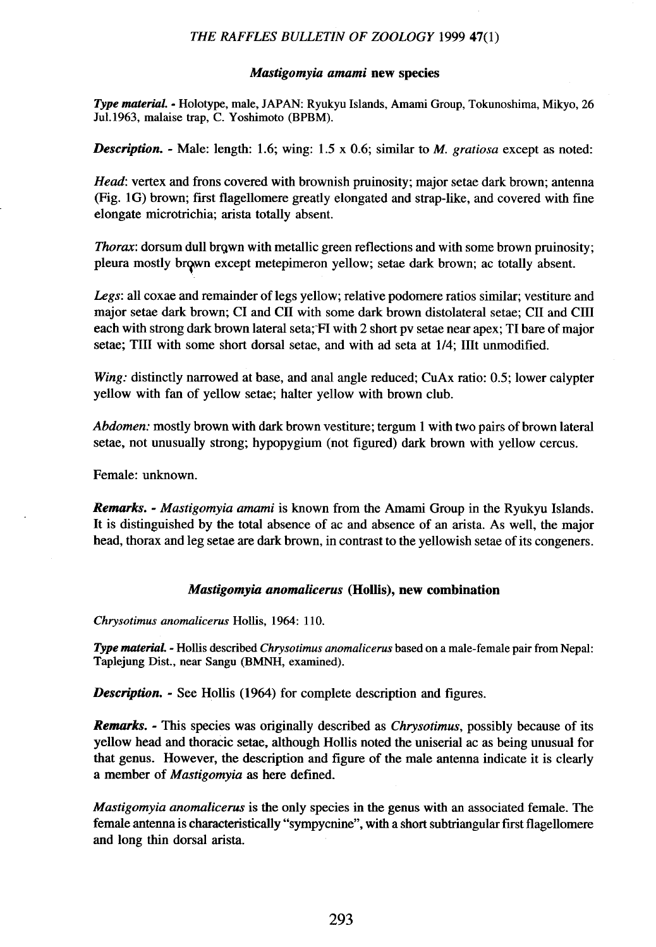### THE RAFFLES BULLETIN OF ZOOLOGY 1999 47(1)

### Mastigomvia amami new species

*Type material .•* Holotype, male, JAPAN: Ryukyu Islands, Amami Group, Tokunoshima, Mikyo, 26 Ju1.1963, malaise trap, C. Yoshimoto (BPBM).

**Description.** - Male: length: 1.6; wing: 1.5 x 0.6; similar to *M. gratiosa* except as noted:

*Head:* vertex and frons covered with brownish pruinosity; major setae dark brown; antenna (Fig. IG) brown; first flagellomere greatly elongated and strap-like, and covered with fine elongate microtrichia; arista totally absent.

*Thorax:* dorsum dull brgwn with metallic green reflections and with some brown pruinosity; pleura mostly brown except metepimeron yellow; setae dark brown; ac totally absent.

*Legs:* all coxae and remainder of legs yellow; relative podomere ratios similar; vestiture and major setae dark brown; CI and CII with some dark brown distolateral setae; CII and CIII each with strong dark brown lateral seta;"FI with 2 short pv setae near apex; TI bare of major setae; TIII with some short dorsal setae, and with ad seta at 1/4; IIIt unmodified.

*Wing:* distinctly narrowed at base, and anal angle reduced; CuAx ratio: 0.5; lower calypter yellow with fan of yellow setae; halter yellow with brown club.

*Abdomen:* mostly brown with dark brown vestiture; tergum 1 with two pairs of brown lateral setae, not unusually strong; hypopygium (not figured) dark brown with yellow cercus.

Female: unknown.

*Remarks. - Mastigomyia amami* is known from the Amami Group in the Ryukyu Islands. It is distinguished by the total absence of ac and absence of an arista. As well, the major head, thorax and leg setae are dark brown, in contrast to the yellowish setae of its congeners.

### *Mastigomyia anomalicerus* (Hollis), new combination

Chrysotimus anomalicerus Hollis, 1964: 110.

*Type material. -* Hollis described *Chrysotimus anomalicerus* based on a male-female pair from Nepal: Taplejung Dist., near Sangu (BMNH, examined).

**Description.** - See Hollis (1964) for complete description and figures.

*Remarks. -* This species was originally described as *Chrysotimus,* possibly because of its yellow head and thoracic setae, although Hollis noted the uniserial ac as being unusual for that genus. However, the description and figure of the male antenna indicate it is clearly a member of *Mastigomyia* as here defined.

*Mastigomyia anomalicerus* is the only species in the genus with an associated female. The female antenna is characteristically "sympycnine", with a short subtriangular first flagellomere and long thin dorsal arista.